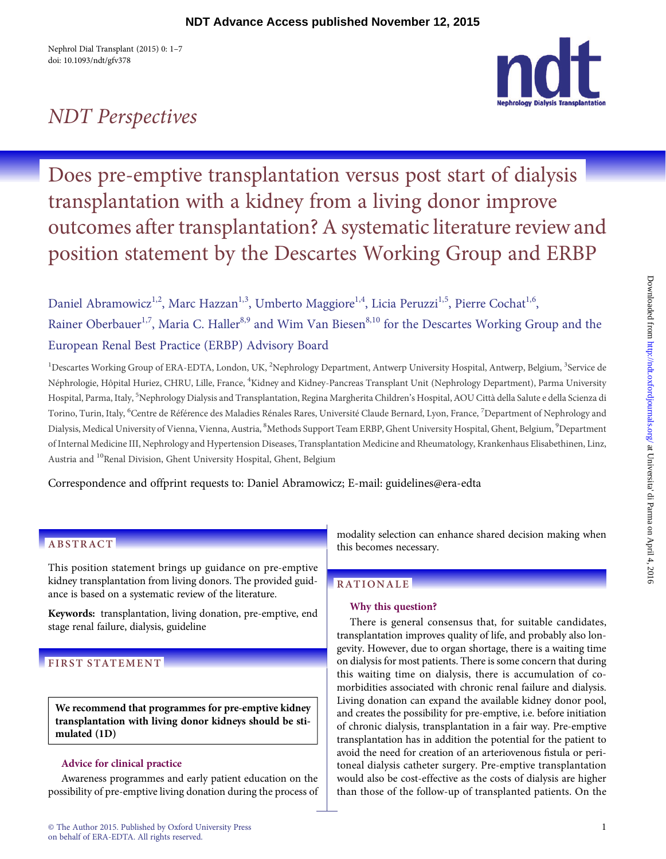Nephrol Dial Transplant (2015) 0: 1–7 doi: 10.1093/ndt/gfv378

# NDT Perspectives



Does pre-emptive transplantation versus post start of dialysis transplantation with a kidney from a living donor improve outcomes after transplantation? A systematic literature review and position statement by the Descartes Working Group and ERBP

Daniel Abramowicz<sup>1,2</sup>, Marc Hazzan<sup>1,3</sup>, Umberto Maggiore<sup>1,4</sup>, Licia Peruzzi<sup>1,5</sup>, Pierre Cochat<sup>1,6</sup>, Rainer Oberbauer<sup>1,7</sup>, Maria C. Haller<sup>8,9</sup> and Wim Van Biesen<sup>8,10</sup> for the Descartes Working Group and the European Renal Best Practice (ERBP) Advisory Board

<sup>1</sup>Descartes Working Group of ERA-EDTA, London, UK, <sup>2</sup>Nephrology Department, Antwerp University Hospital, Antwerp, Belgium, <sup>3</sup>Service de Néphrologie, Hôpital Huriez, CHRU, Lille, France, <sup>4</sup>Kidney and Kidney-Pancreas Transplant Unit (Nephrology Department), Parma University Hospital, Parma, Italy, <sup>5</sup>Nephrology Dialysis and Transplantation, Regina Margherita Children's Hospital, AOU Città della Salute e della Scienza di Torino, Turin, Italy, <sup>6</sup>Centre de Référence des Maladies Rénales Rares, Université Claude Bernard, Lyon, France, <sup>7</sup>Department of Nephrology and Dialysis, Medical University of Vienna, Vienna, Austria, <sup>8</sup>Methods Support Team ERBP, Ghent University Hospital, Ghent, Belgium, <sup>9</sup>Department of Internal Medicine III, Nephrology and Hypertension Diseases, Transplantation Medicine and Rheumatology, Krankenhaus Elisabethinen, Linz, Austria and <sup>10</sup>Renal Division, Ghent University Hospital, Ghent, Belgium

Correspondence and offprint requests to: Daniel Abramowicz; E-mail: [guidelines@era-edta](mailto:guidelines@era-edta)

# ABSTRACT

This position statement brings up guidance on pre-emptive kidney transplantation from living donors. The provided guidance is based on a systematic review of the literature.

Keywords: transplantation, living donation, pre-emptive, end stage renal failure, dialysis, guideline

# FIRST STATEMENT

We recommend that programmes for pre-emptive kidney transplantation with living donor kidneys should be stimulated (1D)

### Advice for clinical practice

Awareness programmes and early patient education on the possibility of pre-emptive living donation during the process of modality selection can enhance shared decision making when this becomes necessary.

# RATIONALE

## Why this question?

There is general consensus that, for suitable candidates, transplantation improves quality of life, and probably also longevity. However, due to organ shortage, there is a waiting time on dialysis for most patients. There is some concern that during this waiting time on dialysis, there is accumulation of comorbidities associated with chronic renal failure and dialysis. Living donation can expand the available kidney donor pool, and creates the possibility for pre-emptive, i.e. before initiation of chronic dialysis, transplantation in a fair way. Pre-emptive transplantation has in addition the potential for the patient to avoid the need for creation of an arteriovenous fistula or peritoneal dialysis catheter surgery. Pre-emptive transplantation would also be cost-effective as the costs of dialysis are higher than those of the follow-up of transplanted patients. On the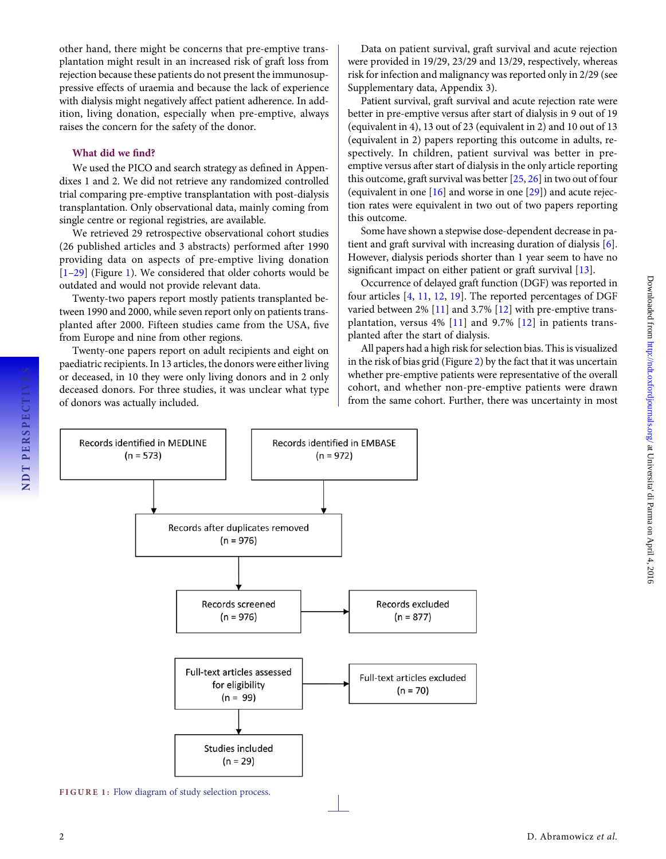other hand, there might be concerns that pre-emptive transplantation might result in an increased risk of graft loss from rejection because these patients do not present the immunosuppressive effects of uraemia and because the lack of experience with dialysis might negatively affect patient adherence. In addition, living donation, especially when pre-emptive, always raises the concern for the safety of the donor.

#### What did we find?

We used the PICO and search strategy as defined in Appendixes 1 and 2. We did not retrieve any randomized controlled trial comparing pre-emptive transplantation with post-dialysis transplantation. Only observational data, mainly coming from single centre or regional registries, are available.

We retrieved 29 retrospective observational cohort studies (26 published articles and 3 abstracts) performed after 1990 providing data on aspects of pre-emptive living donation [[1](#page-4-0)-[29](#page-4-0)] (Figure 1). We considered that older cohorts would be outdated and would not provide relevant data.

Twenty-two papers report mostly patients transplanted between 1990 and 2000, while seven report only on patients transplanted after 2000. Fifteen studies came from the USA, five from Europe and nine from other regions.

Twenty-one papers report on adult recipients and eight on paediatric recipients. In 13 articles, the donors were either living or deceased, in 10 they were only living donors and in 2 only deceased donors. For three studies, it was unclear what type of donors was actually included.

Data on patient survival, graft survival and acute rejection were provided in 19/29, 23/29 and 13/29, respectively, whereas risk for infection and malignancy was reported only in 2/29 (see [Supplementary data, Appendix 3\)](http://ndt.oxfordjournals.org/lookup/suppl/doi:10.1093/ndt/gfv378/-/DC1).

Patient survival, graft survival and acute rejection rate were better in pre-emptive versus after start of dialysis in 9 out of 19 (equivalent in 4), 13 out of 23 (equivalent in 2) and 10 out of 13 (equivalent in 2) papers reporting this outcome in adults, respectively. In children, patient survival was better in preemptive versus after start of dialysis in the only article reporting this outcome, graft survival was better [\[25,](#page-4-0) [26](#page-4-0)] in two out of four (equivalent in one  $[16]$  $[16]$  $[16]$  and worse in one  $[29]$  $[29]$  $[29]$ ) and acute rejection rates were equivalent in two out of two papers reporting this outcome.

Some have shown a stepwise dose-dependent decrease in patient and graft survival with increasing duration of dialysis [[6](#page-4-0)]. However, dialysis periods shorter than 1 year seem to have no significant impact on either patient or graft survival [[13](#page-4-0)].

Occurrence of delayed graft function (DGF) was reported in four articles [\[4](#page-4-0), [11,](#page-4-0) [12,](#page-4-0) [19\]](#page-4-0). The reported percentages of DGF varied between 2% [\[11\]](#page-4-0) and 3.7% [\[12\]](#page-4-0) with pre-emptive transplantation, versus 4% [\[11](#page-4-0)] and 9.7% [[12\]](#page-4-0) in patients transplanted after the start of dialysis.

All papers had a high risk for selection bias. This is visualized in the risk of bias grid (Figure [2](#page-2-0)) by the fact that it was uncertain whether pre-emptive patients were representative of the overall cohort, and whether non-pre-emptive patients were drawn from the same cohort. Further, there was uncertainty in most



FIGURE 1: Flow diagram of study selection process.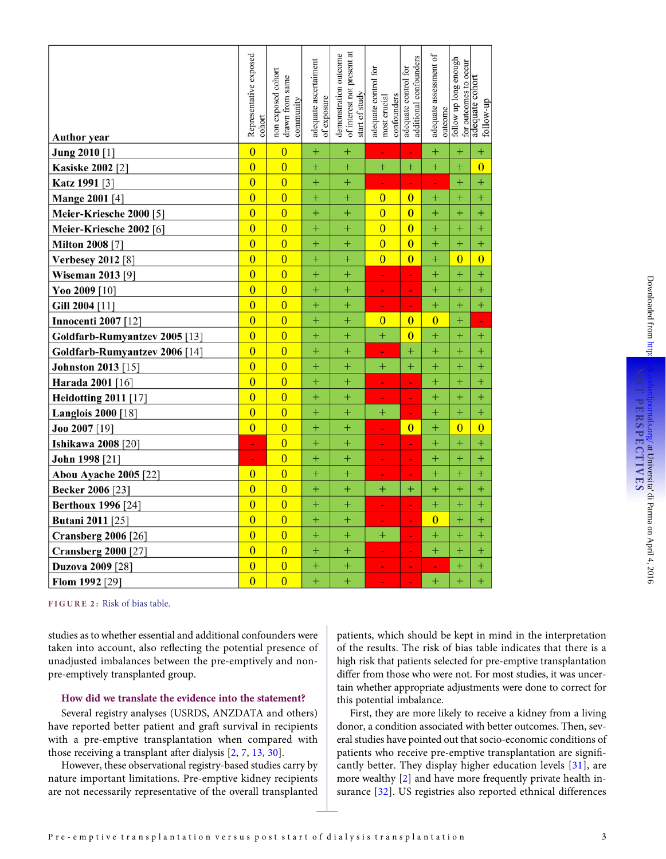<span id="page-2-0"></span>

| <b>Author</b> year            | Representative exposed<br>cohort | non exposed cohort<br>same<br>drawn from<br>community | adequate ascertaiment<br>of exposure | of interest not present at<br>demonstration outcome<br>start of study | adequate control for<br>confounders<br>most crucial | additional confounders<br>adequate control for | adequate assessment of<br>outcome | follow up long enough<br>for outcomes to occur | adequate cohort<br>follow-up |
|-------------------------------|----------------------------------|-------------------------------------------------------|--------------------------------------|-----------------------------------------------------------------------|-----------------------------------------------------|------------------------------------------------|-----------------------------------|------------------------------------------------|------------------------------|
| Jung 2010 [1]                 | $\overline{0}$                   | $\overline{0}$                                        | $^{+}$                               | $^{+}$                                                                | ٠                                                   | $\overline{\phantom{a}}$                       | $^{+}$                            | $^{+}$                                         | $^{+}$                       |
| <b>Kasiske 2002</b> [2]       | $\overline{0}$                   | $\overline{0}$                                        | $+$                                  | $^{+}$                                                                | $^{+}$                                              | $^{+}$                                         | $^{+}$                            | $+$                                            | $\overline{0}$               |
| Katz 1991 [3]                 | $\overline{0}$                   | $\overline{0}$                                        | $^{+}$                               | $^{+}$                                                                | ÷,                                                  | ÷                                              | Ξ                                 | $+$                                            | $\ddot{}$                    |
| <b>Mange 2001</b> [4]         | $\overline{0}$                   | $\overline{0}$                                        | $^{+}$                               | $^{+}$                                                                | $\overline{0}$                                      | $\overline{0}$                                 | $^{+}$                            | $^{+}$                                         | $^{+}$                       |
| Meier-Kriesche 2000 [5]       | $\overline{0}$                   | $\overline{0}$                                        | $^{+}$                               | $^{+}$                                                                | $\overline{0}$                                      | $\overline{0}$                                 | $^{+}$                            | $^{+}$                                         | $^{+}$                       |
| Meier-Kriesche 2002 [6]       | $\overline{0}$                   | $\overline{0}$                                        | $^{+}$                               | $^{+}$                                                                | $\overline{0}$                                      | $\overline{0}$                                 | $^{+}$                            | $+$                                            | $^{+}$                       |
| <b>Milton 2008 [7]</b>        | $\overline{0}$                   | $\overline{0}$                                        | $^{+}$                               | $^{+}$                                                                | $\overline{0}$                                      | $\overline{0}$                                 | $^{+}$                            | $^{+}$                                         | $^{+}$                       |
| <b>Verbesey 2012</b> [8]      | $\overline{0}$                   | $\overline{0}$                                        | $^{+}$                               | $^{+}$                                                                | $\overline{0}$                                      | $\overline{0}$                                 | $^{+}$                            | $\overline{0}$                                 | $\overline{0}$               |
| <b>Wiseman 2013</b> [9]       | $\overline{0}$                   | $\overline{0}$                                        | $^{+}$                               | $^{+}$                                                                | L,                                                  | ÷,                                             | $^{+}$                            | $^{+}$                                         | $^{+}$                       |
| Yoo 2009 [10]                 | $\overline{0}$                   | $\overline{0}$                                        | $^{+}$                               | $^{+}$                                                                | ÷                                                   | ۰                                              | $^{+}$                            | $^{+}$                                         | $^{+}$                       |
| Gill 2004 [11]                | $\overline{0}$                   | $\overline{0}$                                        | $^{+}$                               | $^{+}$                                                                | ۰                                                   | ۰                                              | $^{+}$                            | $^{+}$                                         | $^{+}$                       |
| <b>Innocenti 2007</b> [12]    | $\overline{0}$                   | $\overline{0}$                                        | $^{+}$                               | $^{+}$                                                                | $\overline{0}$                                      | $\overline{0}$                                 | $\overline{0}$                    | $^{+}$                                         | ÷,                           |
| Goldfarb-Rumyantzev 2005 [13] | $\overline{0}$                   | $\overline{0}$                                        | $+$                                  | $^{+}$                                                                | $^{+}$                                              | $\overline{0}$                                 | $^{+}$                            | $+$                                            | $^{+}$                       |
| Goldfarb-Rumyantzev 2006 [14] | $\overline{0}$                   | $\overline{0}$                                        | $^{+}$                               | $+$                                                                   | ÷,                                                  | $^{+}$                                         | $^{+}$                            | $+$                                            | $^{+}$                       |
| <b>Johnston 2013</b> [15]     | $\overline{0}$                   | $\overline{0}$                                        | $\ddot{}$                            | $\ddot{}$                                                             | $^{+}$                                              | $\ddot{}$                                      | $\ddot{}$                         | $+$                                            | $\ddot{}$                    |
| Harada 2001 [16]              | $\overline{0}$                   | $\overline{0}$                                        | $^{+}$                               | $^{+}$                                                                | ۰                                                   | $\blacksquare$                                 | $^{+}$                            | $^{+}$                                         | $^{+}$                       |
| <b>Heidotting 2011</b> [17]   | $\overline{0}$                   | $\overline{0}$                                        | $^{+}$                               | $^{+}$                                                                | ٠                                                   | $\blacksquare$                                 | $^{+}$                            | $^{+}$                                         | $^{+}$                       |
| <b>Langlois 2000</b> [18]     | $\overline{0}$                   | $\overline{0}$                                        | $^{+}$                               | $^{+}$                                                                | $\ddot{}$                                           | ٠                                              | $^{+}$                            | $+$                                            | $^{+}$                       |
| Joo 2007 [19]                 | $\overline{0}$                   | $\overline{0}$                                        | $^{+}$                               | $^{+}$                                                                | ÷,                                                  | $\overline{0}$                                 | $^{+}$                            | $\overline{0}$                                 | $\overline{0}$               |
| <b>Ishikawa 2008 [20]</b>     | L,                               | $\overline{0}$                                        | $^{+}$                               | $^{+}$                                                                | ۰                                                   | ÷                                              | $^{+}$                            | $^{+}$                                         | $^{+}$                       |
| John 1998 [21]                | ٠                                | $\overline{0}$                                        | $^{+}$                               | $^{+}$                                                                | ٠                                                   | ۰                                              | $^{+}$                            | $^{+}$                                         | $^{+}$                       |
| Abou Ayache 2005 [22]         | $\overline{0}$                   | $\overline{0}$                                        | $^{+}$                               | $^{+}$                                                                | ÷                                                   | ۰                                              | $^{+}$                            | $^{+}$                                         | $^{+}$                       |
| <b>Becker 2006</b> [23]       | $\overline{0}$                   | $\overline{0}$                                        | $+$                                  | $^{+}$                                                                | $^{+}$                                              | $^{+}$                                         | $^{+}$                            | $+$                                            | $^{+}$                       |
| <b>Berthoux 1996</b> [24]     | $\overline{0}$                   | $\overline{0}$                                        | $+$                                  | $^{+}$                                                                | ÷                                                   | $\blacksquare$                                 | $^{+}$                            | $+$                                            | $^{+}$                       |
| <b>Butani 2011</b> [25]       | $\overline{0}$                   | $\overline{0}$                                        | $^{+}$                               | $\ddot{}$                                                             | ۰                                                   | ۰                                              | $\overline{0}$                    | $+$                                            | $^{+}$                       |
| <b>Cransberg 2006</b> [26]    | $\overline{0}$                   | $\overline{0}$                                        | $^{+}$                               | $^{+}$                                                                | $^{+}$                                              | ۰                                              | $\boldsymbol{+}$                  | $\pm$                                          | $\mathrm{+}$                 |
| <b>Cransberg 2000 [27]</b>    | $\overline{0}$                   | $\overline{0}$                                        | $^{+}$                               | $^{+}$                                                                | ٠                                                   | $\blacksquare$                                 | $^{+}$                            | $^{+}$                                         | $^{+}$                       |
| <b>Duzova 2009</b> [28]       | $\overline{0}$                   | $\overline{0}$                                        | $^{+}$                               | $^{+}$                                                                | ٠                                                   | ۰                                              | ٠                                 | $^{+}$                                         | $^{+}$                       |
| Flom 1992 [29]                | $\overline{0}$                   | $\overline{0}$                                        | $^{+}$                               | $^{+}$                                                                | ۰                                                   | ۰                                              | $^{+}$                            | $^{+}$                                         | $^{+}$                       |

FIGURE 2: Risk of bias table.

studies as to whether essential and additional confounders were taken into account, also reflecting the potential presence of unadjusted imbalances between the pre-emptively and nonpre-emptively transplanted group.

#### How did we translate the evidence into the statement?

Several registry analyses (USRDS, ANZDATA and others) have reported better patient and graft survival in recipients with a pre-emptive transplantation when compared with those receiving a transplant after dialysis [\[2](#page-4-0), [7,](#page-4-0) [13](#page-4-0), [30\]](#page-4-0).

However, these observational registry-based studies carry by nature important limitations. Pre-emptive kidney recipients are not necessarily representative of the overall transplanted

patients, which should be kept in mind in the interpretation of the results. The risk of bias table indicates that there is a high risk that patients selected for pre-emptive transplantation differ from those who were not. For most studies, it was uncertain whether appropriate adjustments were done to correct for this potential imbalance.

First, they are more likely to receive a kidney from a living donor, a condition associated with better outcomes. Then, several studies have pointed out that socio-economic conditions of patients who receive pre-emptive transplantation are significantly better. They display higher education levels [\[31](#page-4-0)], are more wealthy [\[2](#page-4-0)] and have more frequently private health insurance [[32\]](#page-4-0). US registries also reported ethnical differences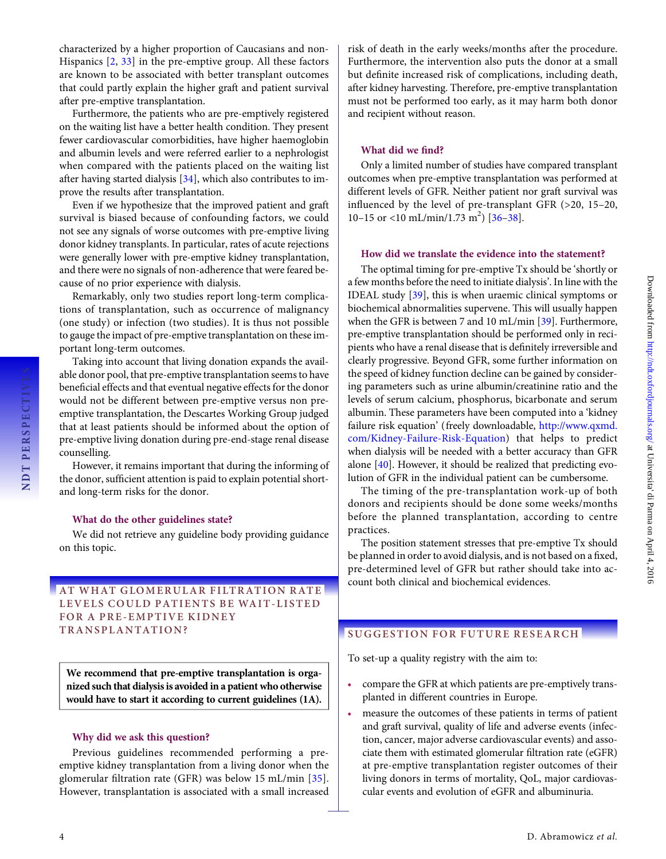characterized by a higher proportion of Caucasians and non-Hispanics [\[2](#page-4-0), [33](#page-4-0)] in the pre-emptive group. All these factors are known to be associated with better transplant outcomes that could partly explain the higher graft and patient survival after pre-emptive transplantation.

Furthermore, the patients who are pre-emptively registered on the waiting list have a better health condition. They present fewer cardiovascular comorbidities, have higher haemoglobin and albumin levels and were referred earlier to a nephrologist when compared with the patients placed on the waiting list after having started dialysis [\[34\]](#page-4-0), which also contributes to improve the results after transplantation.

Even if we hypothesize that the improved patient and graft survival is biased because of confounding factors, we could not see any signals of worse outcomes with pre-emptive living donor kidney transplants. In particular, rates of acute rejections were generally lower with pre-emptive kidney transplantation, and there were no signals of non-adherence that were feared because of no prior experience with dialysis.

Remarkably, only two studies report long-term complications of transplantation, such as occurrence of malignancy (one study) or infection (two studies). It is thus not possible to gauge the impact of pre-emptive transplantation on these important long-term outcomes.

Taking into account that living donation expands the available donor pool, that pre-emptive transplantation seems to have beneficial effects and that eventual negative effects for the donor would not be different between pre-emptive versus non preemptive transplantation, the Descartes Working Group judged that at least patients should be informed about the option of pre-emptive living donation during pre-end-stage renal disease counselling.

However, it remains important that during the informing of the donor, sufficient attention is paid to explain potential shortand long-term risks for the donor.

#### What do the other guidelines state?

We did not retrieve any guideline body providing guidance on this topic.

#### AT WHAT GLOMERULAR FILTRATION RATE LEVELS COULD PATIENTS BE WAIT-LISTED FOR A PRE-EMPTIVE KIDNEY TRANSPLANTATION?

We recommend that pre-emptive transplantation is organized such that dialysis is avoided in a patient who otherwise would have to start it according to current guidelines (1A).

#### Why did we ask this question?

Previous guidelines recommended performing a preemptive kidney transplantation from a living donor when the glomerular filtration rate (GFR) was below 15 mL/min [[35\]](#page-4-0). However, transplantation is associated with a small increased

risk of death in the early weeks/months after the procedure. Furthermore, the intervention also puts the donor at a small but definite increased risk of complications, including death, after kidney harvesting. Therefore, pre-emptive transplantation must not be performed too early, as it may harm both donor and recipient without reason.

#### What did we find?

Only a limited number of studies have compared transplant outcomes when pre-emptive transplantation was performed at different levels of GFR. Neither patient nor graft survival was influenced by the level of pre-transplant GFR (>20, 15–20, 10–15 or <10 mL/min/1.73 m<sup>2</sup>) [\[36](#page-5-0)–[38\]](#page-5-0).

#### How did we translate the evidence into the statement?

The optimal timing for pre-emptive Tx should be 'shortly or a few months before the need to initiate dialysis'. In line with the IDEAL study [\[39\]](#page-5-0), this is when uraemic clinical symptoms or biochemical abnormalities supervene. This will usually happen when the GFR is between 7 and 10 mL/min [[39](#page-5-0)]. Furthermore, pre-emptive transplantation should be performed only in recipients who have a renal disease that is definitely irreversible and clearly progressive. Beyond GFR, some further information on the speed of kidney function decline can be gained by considering parameters such as urine albumin/creatinine ratio and the levels of serum calcium, phosphorus, bicarbonate and serum albumin. These parameters have been computed into a 'kidney failure risk equation' (freely downloadable, [http://www.qxmd.](http://www.qxmd.com/Kidney-Failure-Risk-Equation) [com/Kidney-Failure-Risk-Equation](http://www.qxmd.com/Kidney-Failure-Risk-Equation)) that helps to predict when dialysis will be needed with a better accuracy than GFR alone [[40](#page-5-0)]. However, it should be realized that predicting evolution of GFR in the individual patient can be cumbersome.

The timing of the pre-transplantation work-up of both donors and recipients should be done some weeks/months before the planned transplantation, according to centre practices.

The position statement stresses that pre-emptive Tx should be planned in order to avoid dialysis, and is not based on a fixed, pre-determined level of GFR but rather should take into account both clinical and biochemical evidences.

### SUGGESTION FOR FUTURE RESEARCH

To set-up a quality registry with the aim to:

- compare the GFR at which patients are pre-emptively transplanted in different countries in Europe.
- measure the outcomes of these patients in terms of patient and graft survival, quality of life and adverse events (infection, cancer, major adverse cardiovascular events) and associate them with estimated glomerular filtration rate (eGFR) at pre-emptive transplantation register outcomes of their living donors in terms of mortality, QoL, major cardiovascular events and evolution of eGFR and albuminuria.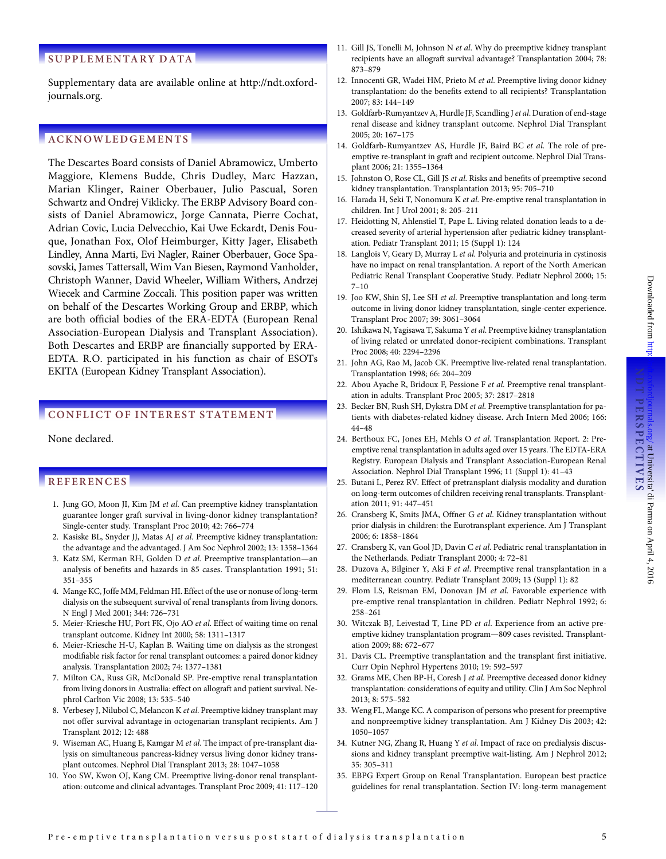#### <span id="page-4-0"></span>SUPPLEMENTARY DATA

[Supplementary data are available online at http://ndt.oxford](http://ndt.oxfordjournals.org/lookup/suppl/doi:10.1093/ndt/gfv378/-/DC1)[journals.org.](http://ndt.oxfordjournals.org/lookup/suppl/doi:10.1093/ndt/gfv378/-/DC1)

#### **ACKNOWLEDGEMENTS**

The Descartes Board consists of Daniel Abramowicz, Umberto Maggiore, Klemens Budde, Chris Dudley, Marc Hazzan, Marian Klinger, Rainer Oberbauer, Julio Pascual, Soren Schwartz and Ondrej Viklicky. The ERBP Advisory Board consists of Daniel Abramowicz, Jorge Cannata, Pierre Cochat, Adrian Covic, Lucia Delvecchio, Kai Uwe Eckardt, Denis Fouque, Jonathan Fox, Olof Heimburger, Kitty Jager, Elisabeth Lindley, Anna Marti, Evi Nagler, Rainer Oberbauer, Goce Spasovski, James Tattersall, Wim Van Biesen, Raymond Vanholder, Christoph Wanner, David Wheeler, William Withers, Andrzej Wiecek and Carmine Zoccali. This position paper was written on behalf of the Descartes Working Group and ERBP, which are both official bodies of the ERA-EDTA (European Renal Association-European Dialysis and Transplant Association). Both Descartes and ERBP are financially supported by ERA-EDTA. R.O. participated in his function as chair of ESOTs EKITA (European Kidney Transplant Association).

#### CONFLICT OF INTEREST STATEMENT

None declared.

#### **REFERENCES**

- 1. Jung GO, Moon JI, Kim JM et al. Can preemptive kidney transplantation guarantee longer graft survival in living-donor kidney transplantation? Single-center study. Transplant Proc 2010; 42: 766–774
- 2. Kasiske BL, Snyder JJ, Matas AJ et al. Preemptive kidney transplantation: the advantage and the advantaged. J Am Soc Nephrol 2002; 13: 1358–1364
- 3. Katz SM, Kerman RH, Golden D et al. Preemptive transplantation—an analysis of benefits and hazards in 85 cases. Transplantation 1991; 51: 351–355
- 4. Mange KC, Joffe MM, Feldman HI. Effect of the use or nonuse of long-term dialysis on the subsequent survival of renal transplants from living donors. N Engl J Med 2001; 344: 726–731
- 5. Meier-Kriesche HU, Port FK, Ojo AO et al. Effect of waiting time on renal transplant outcome. Kidney Int 2000; 58: 1311–1317
- 6. Meier-Kriesche H-U, Kaplan B. Waiting time on dialysis as the strongest modifiable risk factor for renal transplant outcomes: a paired donor kidney analysis. Transplantation 2002; 74: 1377–1381
- 7. Milton CA, Russ GR, McDonald SP. Pre-emptive renal transplantation from living donors in Australia: effect on allograft and patient survival. Nephrol Carlton Vic 2008; 13: 535–540
- 8. Verbesey J, Nilubol C, Melancon K et al. Preemptive kidney transplant may not offer survival advantage in octogenarian transplant recipients. Am J Transplant 2012; 12: 488
- Wiseman AC, Huang E, Kamgar M et al. The impact of pre-transplant dialysis on simultaneous pancreas-kidney versus living donor kidney transplant outcomes. Nephrol Dial Transplant 2013; 28: 1047–1058
- 10. Yoo SW, Kwon OJ, Kang CM. Preemptive living-donor renal transplantation: outcome and clinical advantages. Transplant Proc 2009; 41: 117–120
- 11. Gill JS, Tonelli M, Johnson N et al. Why do preemptive kidney transplant recipients have an allograft survival advantage? Transplantation 2004; 78: 873–879
- 12. Innocenti GR, Wadei HM, Prieto M et al. Preemptive living donor kidney transplantation: do the benefits extend to all recipients? Transplantation 2007; 83: 144–149
- 13. Goldfarb-Rumyantzev A, Hurdle JF, Scandling J et al. Duration of end-stage renal disease and kidney transplant outcome. Nephrol Dial Transplant 2005; 20: 167–175
- 14. Goldfarb-Rumyantzev AS, Hurdle JF, Baird BC et al. The role of preemptive re-transplant in graft and recipient outcome. Nephrol Dial Transplant 2006; 21: 1355–1364
- 15. Johnston O, Rose CL, Gill JS et al. Risks and benefits of preemptive second kidney transplantation. Transplantation 2013; 95: 705–710
- 16. Harada H, Seki T, Nonomura K et al. Pre-emptive renal transplantation in children. Int J Urol 2001; 8: 205–211
- 17. Heidotting N, Ahlenstiel T, Pape L. Living related donation leads to a decreased severity of arterial hypertension after pediatric kidney transplantation. Pediatr Transplant 2011; 15 (Suppl 1): 124
- 18. Langlois V, Geary D, Murray L et al. Polyuria and proteinuria in cystinosis have no impact on renal transplantation. A report of the North American Pediatric Renal Transplant Cooperative Study. Pediatr Nephrol 2000; 15: 7–10
- 19. Joo KW, Shin SJ, Lee SH et al. Preemptive transplantation and long-term outcome in living donor kidney transplantation, single-center experience. Transplant Proc 2007; 39: 3061–3064
- 20. Ishikawa N, Yagisawa T, Sakuma Y et al. Preemptive kidney transplantation of living related or unrelated donor-recipient combinations. Transplant Proc 2008; 40: 2294–2296
- 21. John AG, Rao M, Jacob CK. Preemptive live-related renal transplantation. Transplantation 1998; 66: 204–209
- 22. Abou Ayache R, Bridoux F, Pessione F et al. Preemptive renal transplantation in adults. Transplant Proc 2005; 37: 2817–2818
- 23. Becker BN, Rush SH, Dykstra DM et al. Preemptive transplantation for patients with diabetes-related kidney disease. Arch Intern Med 2006; 166: 44–48
- 24. Berthoux FC, Jones EH, Mehls O et al. Transplantation Report. 2: Preemptive renal transplantation in adults aged over 15 years. The EDTA-ERA Registry. European Dialysis and Transplant Association-European Renal Association. Nephrol Dial Transplant 1996; 11 (Suppl 1): 41–43
- 25. Butani L, Perez RV. Effect of pretransplant dialysis modality and duration on long-term outcomes of children receiving renal transplants. Transplantation 2011; 91: 447–451
- 26. Cransberg K, Smits JMA, Offner G et al. Kidney transplantation without prior dialysis in children: the Eurotransplant experience. Am J Transplant 2006; 6: 1858–1864
- 27. Cransberg K, van Gool JD, Davin C et al. Pediatric renal transplantation in the Netherlands. Pediatr Transplant 2000; 4: 72–81
- 28. Duzova A, Bilginer Y, Aki F et al. Preemptive renal transplantation in a mediterranean country. Pediatr Transplant 2009; 13 (Suppl 1): 82
- 29. Flom LS, Reisman EM, Donovan JM et al. Favorable experience with pre-emptive renal transplantation in children. Pediatr Nephrol 1992; 6: 258–261
- 30. Witczak BJ, Leivestad T, Line PD et al. Experience from an active preemptive kidney transplantation program—809 cases revisited. Transplantation 2009; 88: 672–677
- 31. Davis CL. Preemptive transplantation and the transplant first initiative. Curr Opin Nephrol Hypertens 2010; 19: 592–597
- 32. Grams ME, Chen BP-H, Coresh J et al. Preemptive deceased donor kidney transplantation: considerations of equity and utility. Clin J Am Soc Nephrol 2013; 8: 575–582
- 33. Weng FL, Mange KC. A comparison of persons who present for preemptive and nonpreemptive kidney transplantation. Am J Kidney Dis 2003; 42: 1050–1057
- 34. Kutner NG, Zhang R, Huang Y et al. Impact of race on predialysis discussions and kidney transplant preemptive wait-listing. Am J Nephrol 2012; 35: 305–311
- 35. EBPG Expert Group on Renal Transplantation. European best practice guidelines for renal transplantation. Section IV: long-term management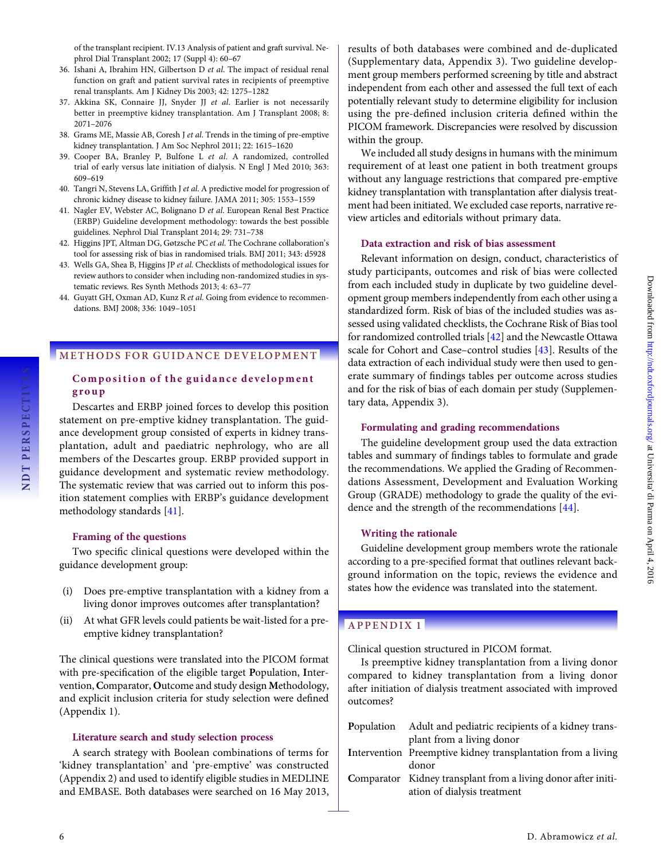<span id="page-5-0"></span>of the transplant recipient. IV.13 Analysis of patient and graft survival. Nephrol Dial Transplant 2002; 17 (Suppl 4): 60–67

- 36. Ishani A, Ibrahim HN, Gilbertson D et al. The impact of residual renal function on graft and patient survival rates in recipients of preemptive renal transplants. Am J Kidney Dis 2003; 42: 1275–1282
- 37. Akkina SK, Connaire JJ, Snyder JJ et al. Earlier is not necessarily better in preemptive kidney transplantation. Am J Transplant 2008; 8: 2071–2076
- 38. Grams ME, Massie AB, Coresh J et al. Trends in the timing of pre-emptive kidney transplantation. J Am Soc Nephrol 2011; 22: 1615–1620
- 39. Cooper BA, Branley P, Bulfone L et al. A randomized, controlled trial of early versus late initiation of dialysis. N Engl J Med 2010; 363: 609–619
- 40. Tangri N, Stevens LA, Griffith J et al. A predictive model for progression of chronic kidney disease to kidney failure. JAMA 2011; 305: 1553–1559
- 41. Nagler EV, Webster AC, Bolignano D et al. European Renal Best Practice (ERBP) Guideline development methodology: towards the best possible guidelines. Nephrol Dial Transplant 2014; 29: 731–738
- 42. Higgins JPT, Altman DG, Gøtzsche PC et al. The Cochrane collaboration's tool for assessing risk of bias in randomised trials. BMJ 2011; 343: d5928
- 43. Wells GA, Shea B, Higgins JP et al. Checklists of methodological issues for review authors to consider when including non-randomized studies in systematic reviews. Res Synth Methods 2013; 4: 63–77
- 44. Guyatt GH, Oxman AD, Kunz R et al. Going from evidence to recommendations. BMJ 2008; 336: 1049–1051

#### METHODS FOR GUIDANCE DEVELOPMENT

#### Composition of the guidance development group

Descartes and ERBP joined forces to develop this position statement on pre-emptive kidney transplantation. The guidance development group consisted of experts in kidney transplantation, adult and paediatric nephrology, who are all members of the Descartes group. ERBP provided support in guidance development and systematic review methodology. The systematic review that was carried out to inform this position statement complies with ERBP's guidance development methodology standards [41].

#### Framing of the questions

Two specific clinical questions were developed within the guidance development group:

- (i) Does pre-emptive transplantation with a kidney from a living donor improves outcomes after transplantation?
- (ii) At what GFR levels could patients be wait-listed for a preemptive kidney transplantation?

The clinical questions were translated into the PICOM format with pre-specification of the eligible target Population, Intervention, Comparator, Outcome and study design Methodology, and explicit inclusion criteria for study selection were defined (Appendix 1).

#### Literature search and study selection process

A search strategy with Boolean combinations of terms for 'kidney transplantation' and 'pre-emptive' was constructed (Appendix 2) and used to identify eligible studies in MEDLINE and EMBASE. Both databases were searched on 16 May 2013,

results of both databases were combined and de-duplicated ([Supplementary data, Appendix 3\)](http://ndt.oxfordjournals.org/lookup/suppl/doi:10.1093/ndt/gfv378/-/DC1). Two guideline development group members performed screening by title and abstract independent from each other and assessed the full text of each potentially relevant study to determine eligibility for inclusion using the pre-defined inclusion criteria defined within the PICOM framework. Discrepancies were resolved by discussion within the group.

We included all study designs in humans with the minimum requirement of at least one patient in both treatment groups without any language restrictions that compared pre-emptive kidney transplantation with transplantation after dialysis treatment had been initiated. We excluded case reports, narrative review articles and editorials without primary data.

#### Data extraction and risk of bias assessment

Relevant information on design, conduct, characteristics of study participants, outcomes and risk of bias were collected from each included study in duplicate by two guideline development group members independently from each other using a standardized form. Risk of bias of the included studies was assessed using validated checklists, the Cochrane Risk of Bias tool for randomized controlled trials [42] and the Newcastle Ottawa scale for Cohort and Case–control studies [43]. Results of the data extraction of each individual study were then used to generate summary of findings tables per outcome across studies and for the risk of bias of each domain per study ([Supplemen](http://ndt.oxfordjournals.org/lookup/suppl/doi:10.1093/ndt/gfv378/-/DC1)[tary data, Appendix 3\)](http://ndt.oxfordjournals.org/lookup/suppl/doi:10.1093/ndt/gfv378/-/DC1).

#### Formulating and grading recommendations

The guideline development group used the data extraction tables and summary of findings tables to formulate and grade the recommendations. We applied the Grading of Recommendations Assessment, Development and Evaluation Working Group (GRADE) methodology to grade the quality of the evidence and the strength of the recommendations [44].

#### Writing the rationale

Guideline development group members wrote the rationale according to a pre-specified format that outlines relevant background information on the topic, reviews the evidence and states how the evidence was translated into the statement.

#### APPENDIX 1

Clinical question structured in PICOM format.

Is preemptive kidney transplantation from a living donor compared to kidney transplantation from a living donor after initiation of dialysis treatment associated with improved outcomes?

| Population | Adult and pediatric recipients of a kidney trans-             |
|------------|---------------------------------------------------------------|
|            | plant from a living donor                                     |
|            | Intervention Preemptive kidney transplantation from a living  |
|            | donor                                                         |
|            | Comparator Kidney transplant from a living donor after initi- |
|            | ation of dialysis treatment                                   |

NDT PERSPECTIVES

NDT PERSPECTIVES